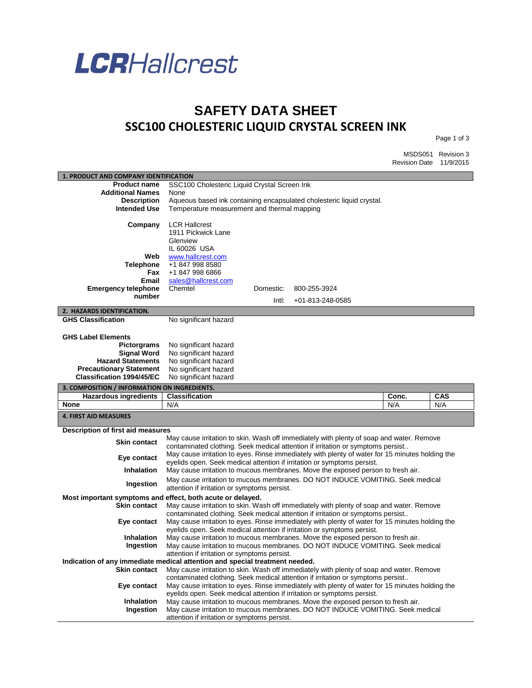

## **SAFETY DATA SHEET SSC100 CHOLESTERIC LIQUID CRYSTAL SCREEN INK**

Page 1 of 3

MSDS051 Revision 3 Revision Date 11/9/2015

| 1. PRODUCT AND COMPANY IDENTIFICATION                                       |                                                                       |           |                                                                                                                                                                   |       |            |
|-----------------------------------------------------------------------------|-----------------------------------------------------------------------|-----------|-------------------------------------------------------------------------------------------------------------------------------------------------------------------|-------|------------|
| <b>Product name</b>                                                         | SSC100 Cholesteric Liquid Crystal Screen Ink                          |           |                                                                                                                                                                   |       |            |
| <b>Additional Names</b>                                                     | None                                                                  |           |                                                                                                                                                                   |       |            |
| <b>Description</b>                                                          | Aqueous based ink containing encapsulated cholesteric liquid crystal. |           |                                                                                                                                                                   |       |            |
| <b>Intended Use</b>                                                         | Temperature measurement and thermal mapping                           |           |                                                                                                                                                                   |       |            |
|                                                                             |                                                                       |           |                                                                                                                                                                   |       |            |
| Company                                                                     | <b>LCR Hallcrest</b>                                                  |           |                                                                                                                                                                   |       |            |
|                                                                             | 1911 Pickwick Lane                                                    |           |                                                                                                                                                                   |       |            |
|                                                                             | Glenview                                                              |           |                                                                                                                                                                   |       |            |
|                                                                             | IL 60026 USA                                                          |           |                                                                                                                                                                   |       |            |
| Web                                                                         | www.hallcrest.com                                                     |           |                                                                                                                                                                   |       |            |
| <b>Telephone</b>                                                            | +1 847 998 8580                                                       |           |                                                                                                                                                                   |       |            |
| Fax                                                                         | +1 847 998 6866                                                       |           |                                                                                                                                                                   |       |            |
| Email                                                                       | sales@hallcrest.com<br>Chemtel                                        |           |                                                                                                                                                                   |       |            |
| <b>Emergency telephone</b><br>number                                        |                                                                       | Domestic: | 800-255-3924                                                                                                                                                      |       |            |
|                                                                             |                                                                       | Intl:     | $+01 - 813 - 248 - 0585$                                                                                                                                          |       |            |
| 2. HAZARDS IDENTIFICATION.                                                  |                                                                       |           |                                                                                                                                                                   |       |            |
| <b>GHS Classification</b>                                                   | No significant hazard                                                 |           |                                                                                                                                                                   |       |            |
|                                                                             |                                                                       |           |                                                                                                                                                                   |       |            |
| <b>GHS Label Elements</b>                                                   |                                                                       |           |                                                                                                                                                                   |       |            |
| <b>Pictorgrams</b>                                                          | No significant hazard                                                 |           |                                                                                                                                                                   |       |            |
| <b>Signal Word</b>                                                          | No significant hazard                                                 |           |                                                                                                                                                                   |       |            |
| <b>Hazard Statements</b>                                                    | No significant hazard                                                 |           |                                                                                                                                                                   |       |            |
| <b>Precautionary Statement</b>                                              | No significant hazard                                                 |           |                                                                                                                                                                   |       |            |
| <b>Classification 1994/45/EC</b>                                            | No significant hazard                                                 |           |                                                                                                                                                                   |       |            |
| 3. COMPOSITION / INFORMATION ON INGREDIENTS.                                |                                                                       |           |                                                                                                                                                                   |       |            |
|                                                                             |                                                                       |           |                                                                                                                                                                   |       |            |
| <b>Hazardous ingredients</b>                                                | <b>Classification</b>                                                 |           |                                                                                                                                                                   | Conc. | <b>CAS</b> |
| <b>None</b>                                                                 | N/A                                                                   |           |                                                                                                                                                                   | N/A   | N/A        |
| <b>4. FIRST AID MEASURES</b>                                                |                                                                       |           |                                                                                                                                                                   |       |            |
| <b>Description of first aid measures</b>                                    |                                                                       |           |                                                                                                                                                                   |       |            |
|                                                                             |                                                                       |           | May cause irritation to skin. Wash off immediately with plenty of soap and water. Remove                                                                          |       |            |
| <b>Skin contact</b>                                                         |                                                                       |           | contaminated clothing. Seek medical attention if irritation or symptoms persist                                                                                   |       |            |
|                                                                             |                                                                       |           | May cause irritation to eyes. Rinse immediately with plenty of water for 15 minutes holding the                                                                   |       |            |
| Eye contact                                                                 |                                                                       |           | eyelids open. Seek medical attention if irritation or symptoms persist.                                                                                           |       |            |
| <b>Inhalation</b>                                                           |                                                                       |           | May cause irritation to mucous membranes. Move the exposed person to fresh air.                                                                                   |       |            |
|                                                                             |                                                                       |           | May cause irritation to mucous membranes. DO NOT INDUCE VOMITING. Seek medical                                                                                    |       |            |
| Ingestion                                                                   | attention if irritation or symptoms persist.                          |           |                                                                                                                                                                   |       |            |
| Most important symptoms and effect, both acute or delayed.                  |                                                                       |           |                                                                                                                                                                   |       |            |
| <b>Skin contact</b>                                                         |                                                                       |           | May cause irritation to skin. Wash off immediately with plenty of soap and water. Remove                                                                          |       |            |
|                                                                             |                                                                       |           | contaminated clothing. Seek medical attention if irritation or symptoms persist                                                                                   |       |            |
| Eye contact                                                                 |                                                                       |           | May cause irritation to eyes. Rinse immediately with plenty of water for 15 minutes holding the                                                                   |       |            |
|                                                                             |                                                                       |           | eyelids open. Seek medical attention if irritation or symptoms persist.                                                                                           |       |            |
| <b>Inhalation</b>                                                           |                                                                       |           | May cause irritation to mucous membranes. Move the exposed person to fresh air.                                                                                   |       |            |
| Ingestion                                                                   |                                                                       |           | May cause irritation to mucous membranes. DO NOT INDUCE VOMITING. Seek medical                                                                                    |       |            |
|                                                                             | attention if irritation or symptoms persist.                          |           |                                                                                                                                                                   |       |            |
| Indication of any immediate medical attention and special treatment needed. |                                                                       |           |                                                                                                                                                                   |       |            |
| Skin contact                                                                |                                                                       |           | May cause irritation to skin. Wash off immediately with plenty of soap and water. Remove                                                                          |       |            |
|                                                                             |                                                                       |           | contaminated clothing. Seek medical attention if irritation or symptoms persist                                                                                   |       |            |
| Eye contact                                                                 |                                                                       |           | May cause irritation to eyes. Rinse immediately with plenty of water for 15 minutes holding the                                                                   |       |            |
|                                                                             |                                                                       |           | eyelids open. Seek medical attention if irritation or symptoms persist.                                                                                           |       |            |
| <b>Inhalation</b><br>Ingestion                                              |                                                                       |           | May cause irritation to mucous membranes. Move the exposed person to fresh air.<br>May cause irritation to mucous membranes. DO NOT INDUCE VOMITING. Seek medical |       |            |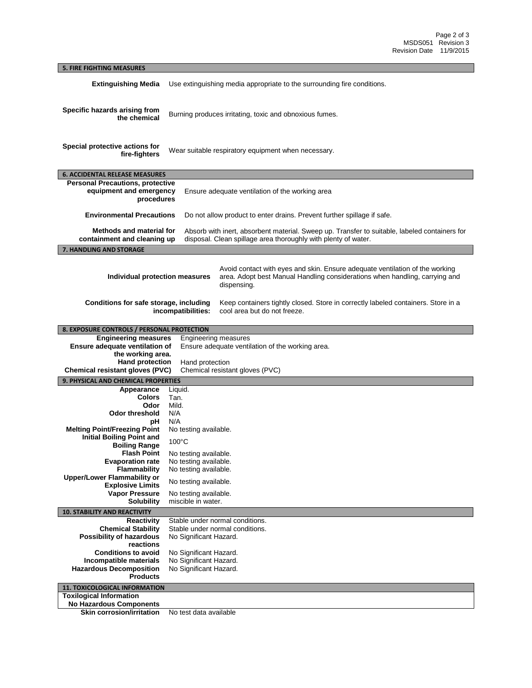## **5. FIRE FIGHTING MEASURES Extinguishing Media** Use extinguishing media appropriate to the surrounding fire conditions. **Specific hazards arising from the chemical** Burning produces irritating, toxic and obnoxious fumes. **Special protective actions for fire-fighters** Wear suitable respiratory equipment when necessary. **6. ACCIDENTAL RELEASE MEASURES Personal Precautions, protective equipment and emergency procedures** Ensure adequate ventilation of the working area **Environmental Precautions** Do not allow product to enter drains. Prevent further spillage if safe. **Methods and material for containment and cleaning up** Absorb with inert, absorbent material. Sweep up. Transfer to suitable, labeled containers for disposal. Clean spillage area thoroughly with plenty of water. **7. HANDLING AND STORAGE Individual protection measures** Avoid contact with eyes and skin. Ensure adequate ventilation of the working area. Adopt best Manual Handling considerations when handling, carrying and dispensing. **Conditions for safe storage, including incompatibilities:** Keep containers tightly closed. Store in correctly labeled containers. Store in a cool area but do not freeze. **8. EXPOSURE CONTROLS / PERSONAL PROTECTION Engineering measures** Engineering measures **Ensure adequate ventilation of the working area.**  Ensure adequate ventilation of the working area. **Hand protection** Hand protection **Chemical resistant gloves (PVC)** Chemical resistant gloves (PVC) **9. PHYSICAL AND CHEMICAL PROPERTIES Appearance** Liquid. **Colors** Tan. **Odor Odor threshold** N/A **pH** N/A **Melting Point/Freezing Point** No testing available. **Initial Boiling Point and Boiling Range** 100°C **Flash Point** No testing available. **Evaporation rate** No testing available. **Flammability** No testing available. **Upper/Lower Flammability or Explosive Limits** No testing available.<br> **Vapor Pressure** No testing available. **Pressure** No testing available.<br>**Solubility** miscible in water. miscible in water. **10. STABILITY AND REACTIVITY Reactivity** Stable under normal conditions.<br>**Chemical Stability** Stable under normal conditions. Stable under normal conditions. **Possibility of hazardous reactions** No Significant Hazard. **Conditions to avoid** No Significant Hazard.<br>**Incompatible materials** No Significant Hazard. **No Significant Hazard. Hazardous Decomposition Products** No Significant Hazard. **11. TOXICOLOGICAL INFORMATION Toxilogical Information No Hazardous Components**

**Skin corrosion/irritation** No test data available